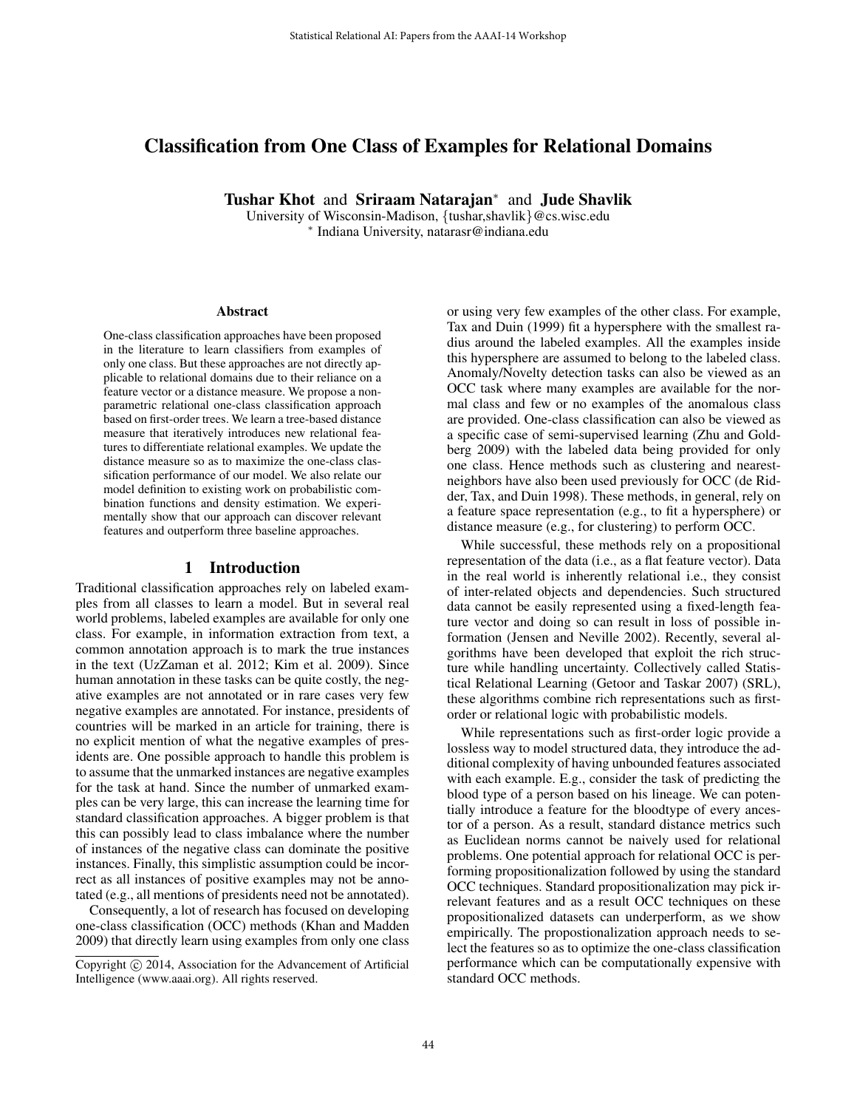# Classification from One Class of Examples for Relational Domains

Tushar Khot and Sriraam Natarajan<sup>∗</sup> and Jude Shavlik

University of Wisconsin-Madison, {tushar,shavlik}@cs.wisc.edu ∗ Indiana University, natarasr@indiana.edu

#### Abstract

One-class classification approaches have been proposed in the literature to learn classifiers from examples of only one class. But these approaches are not directly applicable to relational domains due to their reliance on a feature vector or a distance measure. We propose a nonparametric relational one-class classification approach based on first-order trees. We learn a tree-based distance measure that iteratively introduces new relational features to differentiate relational examples. We update the distance measure so as to maximize the one-class classification performance of our model. We also relate our model definition to existing work on probabilistic combination functions and density estimation. We experimentally show that our approach can discover relevant features and outperform three baseline approaches.

#### 1 Introduction

Traditional classification approaches rely on labeled examples from all classes to learn a model. But in several real world problems, labeled examples are available for only one class. For example, in information extraction from text, a common annotation approach is to mark the true instances in the text (UzZaman et al. 2012; Kim et al. 2009). Since human annotation in these tasks can be quite costly, the negative examples are not annotated or in rare cases very few negative examples are annotated. For instance, presidents of countries will be marked in an article for training, there is no explicit mention of what the negative examples of presidents are. One possible approach to handle this problem is to assume that the unmarked instances are negative examples for the task at hand. Since the number of unmarked examples can be very large, this can increase the learning time for standard classification approaches. A bigger problem is that this can possibly lead to class imbalance where the number of instances of the negative class can dominate the positive instances. Finally, this simplistic assumption could be incorrect as all instances of positive examples may not be annotated (e.g., all mentions of presidents need not be annotated).

Consequently, a lot of research has focused on developing one-class classification (OCC) methods (Khan and Madden 2009) that directly learn using examples from only one class

or using very few examples of the other class. For example, Tax and Duin (1999) fit a hypersphere with the smallest radius around the labeled examples. All the examples inside this hypersphere are assumed to belong to the labeled class. Anomaly/Novelty detection tasks can also be viewed as an OCC task where many examples are available for the normal class and few or no examples of the anomalous class are provided. One-class classification can also be viewed as a specific case of semi-supervised learning (Zhu and Goldberg 2009) with the labeled data being provided for only one class. Hence methods such as clustering and nearestneighbors have also been used previously for OCC (de Ridder, Tax, and Duin 1998). These methods, in general, rely on a feature space representation (e.g., to fit a hypersphere) or distance measure (e.g., for clustering) to perform OCC.

While successful, these methods rely on a propositional representation of the data (i.e., as a flat feature vector). Data in the real world is inherently relational i.e., they consist of inter-related objects and dependencies. Such structured data cannot be easily represented using a fixed-length feature vector and doing so can result in loss of possible information (Jensen and Neville 2002). Recently, several algorithms have been developed that exploit the rich structure while handling uncertainty. Collectively called Statistical Relational Learning (Getoor and Taskar 2007) (SRL), these algorithms combine rich representations such as firstorder or relational logic with probabilistic models.

While representations such as first-order logic provide a lossless way to model structured data, they introduce the additional complexity of having unbounded features associated with each example. E.g., consider the task of predicting the blood type of a person based on his lineage. We can potentially introduce a feature for the bloodtype of every ancestor of a person. As a result, standard distance metrics such as Euclidean norms cannot be naively used for relational problems. One potential approach for relational OCC is performing propositionalization followed by using the standard OCC techniques. Standard propositionalization may pick irrelevant features and as a result OCC techniques on these propositionalized datasets can underperform, as we show empirically. The propostionalization approach needs to select the features so as to optimize the one-class classification performance which can be computationally expensive with standard OCC methods.

Copyright (c) 2014, Association for the Advancement of Artificial Intelligence (www.aaai.org). All rights reserved.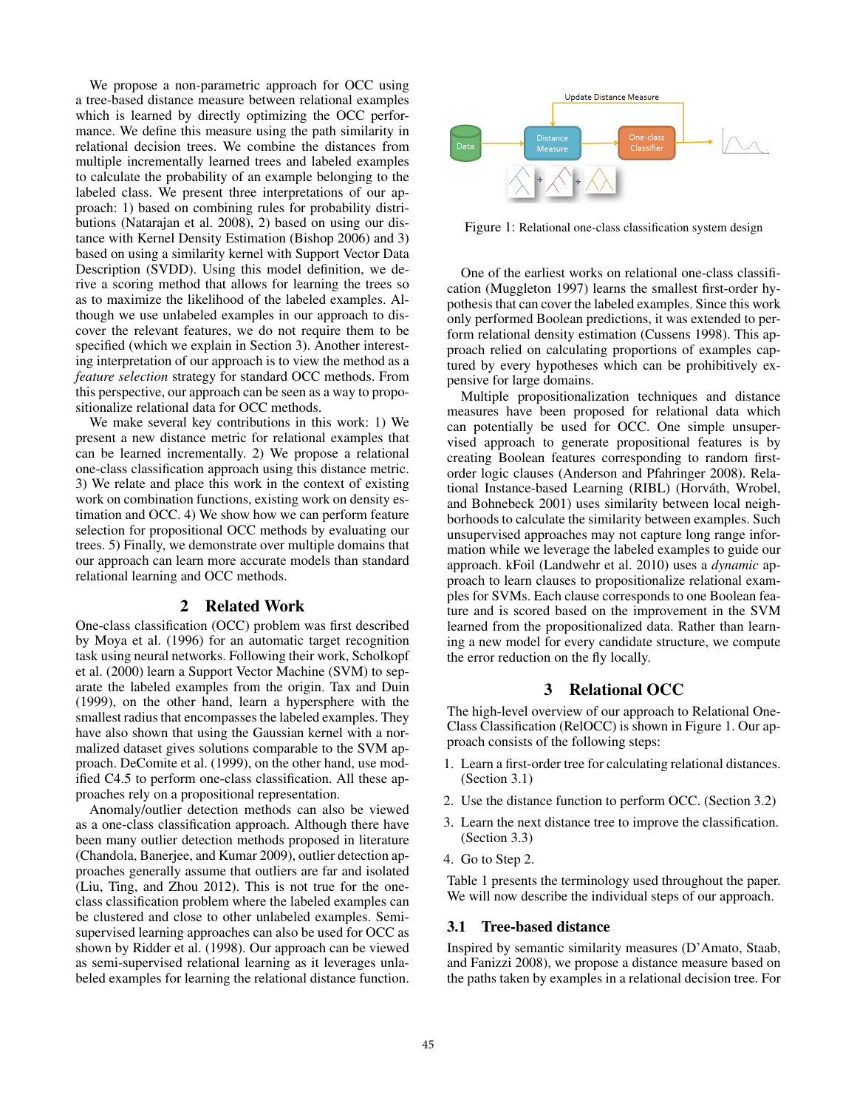We propose a non-parametric approach for OCC using a tree-based distance measure between relational examples which is learned by directly optimizing the OCC performance. We define this measure using the path similarity in relational decision trees. We combine the distances from multiple incrementally learned trees and labeled examples to calculate the probability of an example belonging to the labeled class. We present three interpretations of our approach: 1) based on combining rules for probability distributions (Natarajan et al. 2008), 2) based on using our distance with Kernel Density Estimation (Bishop 2006) and 3) based on using a similarity kernel with Support Vector Data Description (SVDD). Using this model definition, we derive a scoring method that allows for learning the trees so as to maximize the likelihood of the labeled examples. Although we use unlabeled examples in our approach to discover the relevant features, we do not require them to be specified (which we explain in Section 3). Another interesting interpretation of our approach is to view the method as a *feature selection* strategy for standard OCC methods. From this perspective, our approach can be seen as a way to propositionalize relational data for OCC methods.

We make several key contributions in this work: 1) We present a new distance metric for relational examples that can be learned incrementally. 2) We propose a relational one-class classification approach using this distance metric. 3) We relate and place this work in the context of existing work on combination functions, existing work on density estimation and OCC. 4) We show how we can perform feature selection for propositional OCC methods by evaluating our trees. 5) Finally, we demonstrate over multiple domains that our approach can learn more accurate models than standard relational learning and OCC methods.

### 2 Related Work

One-class classification (OCC) problem was first described by Moya et al. (1996) for an automatic target recognition task using neural networks. Following their work, Scholkopf et al. (2000) learn a Support Vector Machine (SVM) to separate the labeled examples from the origin. Tax and Duin (1999), on the other hand, learn a hypersphere with the smallest radius that encompasses the labeled examples. They have also shown that using the Gaussian kernel with a normalized dataset gives solutions comparable to the SVM approach. DeComite et al. (1999), on the other hand, use modified C4.5 to perform one-class classification. All these approaches rely on a propositional representation.

Anomaly/outlier detection methods can also be viewed as a one-class classification approach. Although there have been many outlier detection methods proposed in literature (Chandola, Banerjee, and Kumar 2009), outlier detection approaches generally assume that outliers are far and isolated (Liu, Ting, and Zhou 2012). This is not true for the oneclass classification problem where the labeled examples can be clustered and close to other unlabeled examples. Semisupervised learning approaches can also be used for OCC as shown by Ridder et al. (1998). Our approach can be viewed as semi-supervised relational learning as it leverages unlabeled examples for learning the relational distance function.



Figure 1: Relational one-class classification system design

One of the earliest works on relational one-class classification (Muggleton 1997) learns the smallest first-order hypothesis that can cover the labeled examples. Since this work only performed Boolean predictions, it was extended to perform relational density estimation (Cussens 1998). This approach relied on calculating proportions of examples captured by every hypotheses which can be prohibitively expensive for large domains.

Multiple propositionalization techniques and distance measures have been proposed for relational data which can potentially be used for OCC. One simple unsupervised approach to generate propositional features is by creating Boolean features corresponding to random firstorder logic clauses (Anderson and Pfahringer 2008). Relational Instance-based Learning (RIBL) (Horváth, Wrobel, and Bohnebeck 2001) uses similarity between local neighborhoods to calculate the similarity between examples. Such unsupervised approaches may not capture long range information while we leverage the labeled examples to guide our approach. kFoil (Landwehr et al. 2010) uses a *dynamic* approach to learn clauses to propositionalize relational examples for SVMs. Each clause corresponds to one Boolean feature and is scored based on the improvement in the SVM learned from the propositionalized data. Rather than learning a new model for every candidate structure, we compute the error reduction on the fly locally.

### 3 Relational OCC

The high-level overview of our approach to Relational One-Class Classification (RelOCC) is shown in Figure 1. Our approach consists of the following steps:

- 1. Learn a first-order tree for calculating relational distances. (Section 3.1)
- 2. Use the distance function to perform OCC. (Section 3.2)
- 3. Learn the next distance tree to improve the classification. (Section 3.3)
- 4. Go to Step 2.

Table 1 presents the terminology used throughout the paper. We will now describe the individual steps of our approach.

### 3.1 Tree-based distance

Inspired by semantic similarity measures (D'Amato, Staab, and Fanizzi 2008), we propose a distance measure based on the paths taken by examples in a relational decision tree. For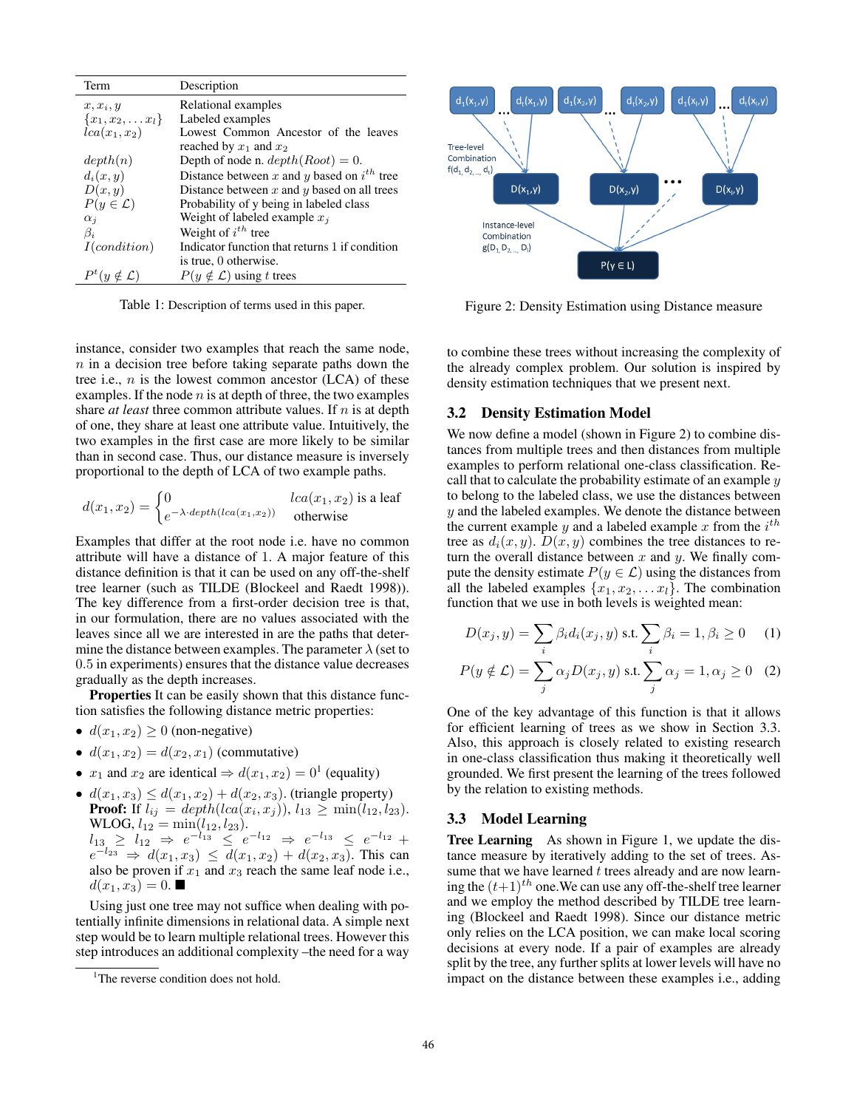| Term                        | Description                                     |
|-----------------------------|-------------------------------------------------|
| $x, x_i, y$                 | Relational examples                             |
| ${x_1, x_2, \ldots x_l}$    | Labeled examples                                |
| $lca(x_1, x_2)$             | Lowest Common Ancestor of the leaves            |
|                             | reached by $x_1$ and $x_2$                      |
| depth(n)                    | Depth of node n. $depth(Root) = 0$ .            |
| $d_i(x,y)$                  | Distance between x and y based on $i^{th}$ tree |
| D(x,y)                      | Distance between $x$ and $y$ based on all trees |
| $P(y \in \mathcal{L})$      | Probability of y being in labeled class         |
| $\alpha_i$                  | Weight of labeled example $x_i$                 |
| $\beta_i$                   | Weight of $i^{th}$ tree                         |
| I(condition)                | Indicator function that returns 1 if condition  |
|                             | is true, 0 otherwise.                           |
| $P^t(y \notin \mathcal{L})$ | $P(y \notin \mathcal{L})$ using t trees         |

Table 1: Description of terms used in this paper.

instance, consider two examples that reach the same node,  $n$  in a decision tree before taking separate paths down the tree i.e.,  $n$  is the lowest common ancestor (LCA) of these examples. If the node  $n$  is at depth of three, the two examples share *at least* three common attribute values. If *n* is at depth of one, they share at least one attribute value. Intuitively, the two examples in the first case are more likely to be similar than in second case. Thus, our distance measure is inversely proportional to the depth of LCA of two example paths.

$$
d(x_1, x_2) = \begin{cases} 0 & lca(x_1, x_2) \text{ is a leaf} \\ e^{-\lambda \cdot depth(lca(x_1, x_2))} & \text{otherwise} \end{cases}
$$

Examples that differ at the root node i.e. have no common attribute will have a distance of 1. A major feature of this distance definition is that it can be used on any off-the-shelf tree learner (such as TILDE (Blockeel and Raedt 1998)). The key difference from a first-order decision tree is that, in our formulation, there are no values associated with the leaves since all we are interested in are the paths that determine the distance between examples. The parameter  $\lambda$  (set to 0.5 in experiments) ensures that the distance value decreases gradually as the depth increases.

Properties It can be easily shown that this distance function satisfies the following distance metric properties:

- $d(x_1, x_2) \geq 0$  (non-negative)
- $d(x_1, x_2) = d(x_2, x_1)$  (commutative)
- $x_1$  and  $x_2$  are identical  $\Rightarrow d(x_1, x_2) = 0^1$  (equality)
- $d(x_1, x_3) \leq d(x_1, x_2) + d(x_2, x_3)$ . (triangle property) **Proof:** If  $l_{ij} = depth(lca(x_i, x_j))$ ,  $l_{13} \geq min(l_{12}, l_{23})$ . WLOG,  $l_{12} = \min(l_{12}, l_{23}).$  $l_{13}$   $\geq l_{12}$   $\Rightarrow$   $e^{-l_{13}}$   $\leq$   $e^{-l_{12}}$   $\Rightarrow$   $e^{-l_{13}}$   $\leq$   $e^{-l_{12}}$  +  $e^{-l_{23}} \Rightarrow d(x_1, x_3) \leq d(x_1, x_2) + d(x_2, x_3)$ . This can also be proven if  $x_1$  and  $x_3$  reach the same leaf node i.e.,  $d(x_1, x_3) = 0.$

Using just one tree may not suffice when dealing with potentially infinite dimensions in relational data. A simple next step would be to learn multiple relational trees. However this step introduces an additional complexity –the need for a way



Figure 2: Density Estimation using Distance measure

to combine these trees without increasing the complexity of the already complex problem. Our solution is inspired by density estimation techniques that we present next.

### 3.2 Density Estimation Model

We now define a model (shown in Figure 2) to combine distances from multiple trees and then distances from multiple examples to perform relational one-class classification. Recall that to calculate the probability estimate of an example  $y$ to belong to the labeled class, we use the distances between  $y$  and the labeled examples. We denote the distance between the current example y and a labeled example x from the  $i^{th}$ tree as  $d_i(x, y)$ .  $D(x, y)$  combines the tree distances to return the overall distance between  $x$  and  $y$ . We finally compute the density estimate  $P(y \in \mathcal{L})$  using the distances from all the labeled examples  $\{x_1, x_2, \ldots x_l\}$ . The combination function that we use in both levels is weighted mean:

$$
D(x_j, y) = \sum_i \beta_i d_i(x_j, y) \text{ s.t. } \sum_i \beta_i = 1, \beta_i \ge 0 \quad (1)
$$

$$
P(y \notin \mathcal{L}) = \sum_{j} \alpha_j D(x_j, y) \text{ s.t. } \sum_{j} \alpha_j = 1, \alpha_j \ge 0 \quad (2)
$$

One of the key advantage of this function is that it allows for efficient learning of trees as we show in Section 3.3. Also, this approach is closely related to existing research in one-class classification thus making it theoretically well grounded. We first present the learning of the trees followed by the relation to existing methods.

#### 3.3 Model Learning

Tree Learning As shown in Figure 1, we update the distance measure by iteratively adding to the set of trees. Assume that we have learned  $t$  trees already and are now learning the  $(t+1)$ <sup>th</sup> one. We can use any off-the-shelf tree learner and we employ the method described by TILDE tree learning (Blockeel and Raedt 1998). Since our distance metric only relies on the LCA position, we can make local scoring decisions at every node. If a pair of examples are already split by the tree, any further splits at lower levels will have no impact on the distance between these examples i.e., adding

<sup>&</sup>lt;sup>1</sup>The reverse condition does not hold.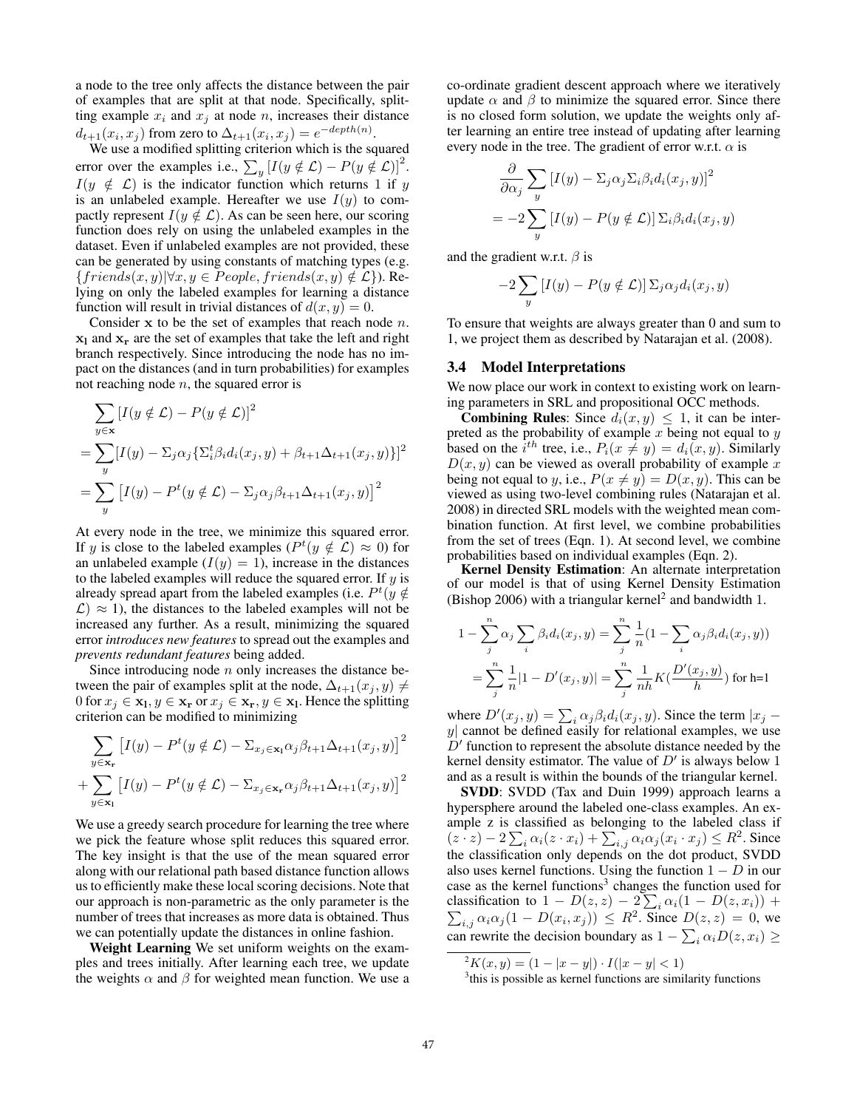a node to the tree only affects the distance between the pair of examples that are split at that node. Specifically, splitting example  $x_i$  and  $x_j$  at node n, increases their distance  $d_{t+1}(x_i, x_j)$  from zero to  $\Delta_{t+1}(x_i, x_j) = e^{-depth(n)}$ .

We use a modified splitting criterion which is the squared error over the examples i.e.,  $\sum_{y} [I(y \notin \mathcal{L}) - P(y \notin \mathcal{L})]^2$ .  $I(y \notin \mathcal{L})$  is the indicator function which returns 1 if y is an unlabeled example. Hereafter we use  $I(y)$  to compactly represent  $I(y \notin \mathcal{L})$ . As can be seen here, our scoring function does rely on using the unlabeled examples in the dataset. Even if unlabeled examples are not provided, these can be generated by using constants of matching types (e.g.  ${friends}(x, y) \forall x, y \in People, friends(x, y) \notin \mathcal{L}$ . Relying on only the labeled examples for learning a distance function will result in trivial distances of  $d(x, y) = 0$ .

Consider  $x$  to be the set of examples that reach node  $n$ .  $x<sub>l</sub>$  and  $x<sub>r</sub>$  are the set of examples that take the left and right branch respectively. Since introducing the node has no impact on the distances (and in turn probabilities) for examples not reaching node  $n$ , the squared error is

$$
\sum_{y \in \mathbf{x}} [I(y \notin \mathcal{L}) - P(y \notin \mathcal{L})]^2
$$
  
= 
$$
\sum_{y} [I(y) - \sum_j \alpha_j \{\sum_i^t \beta_i d_i(x_j, y) + \beta_{t+1} \Delta_{t+1}(x_j, y)\}]^2
$$
  
= 
$$
\sum_{y} [I(y) - P^t(y \notin \mathcal{L}) - \sum_j \alpha_j \beta_{t+1} \Delta_{t+1}(x_j, y)]^2
$$

At every node in the tree, we minimize this squared error. If y is close to the labeled examples  $(P^t(y \notin \mathcal{L}) \approx 0)$  for an unlabeled example  $(I(y) = 1)$ , increase in the distances to the labeled examples will reduce the squared error. If  $y$  is already spread apart from the labeled examples (i.e.  $P^t(y \notin$  $\mathcal{L} \approx 1$ , the distances to the labeled examples will not be increased any further. As a result, minimizing the squared error *introduces new features* to spread out the examples and *prevents redundant features* being added.

Since introducing node  $n$  only increases the distance between the pair of examples split at the node,  $\Delta_{t+1}(x_j, y) \neq$ 0 for  $x_j \in \mathbf{x}_1, y \in \mathbf{x}_r$  or  $x_j \in \mathbf{x}_r, y \in \mathbf{x}_l$ . Hence the splitting criterion can be modified to minimizing

$$
\sum_{y \in \mathbf{x}_{\mathbf{r}}} \left[ I(y) - P^t(y \notin \mathcal{L}) - \sum_{x_j \in \mathbf{x}_1} \alpha_j \beta_{t+1} \Delta_{t+1}(x_j, y) \right]^2
$$

$$
+ \sum_{y \in \mathbf{x}_1} \left[ I(y) - P^t(y \notin \mathcal{L}) - \sum_{x_j \in \mathbf{x}_{\mathbf{r}}} \alpha_j \beta_{t+1} \Delta_{t+1}(x_j, y) \right]^2
$$

We use a greedy search procedure for learning the tree where we pick the feature whose split reduces this squared error. The key insight is that the use of the mean squared error along with our relational path based distance function allows us to efficiently make these local scoring decisions. Note that our approach is non-parametric as the only parameter is the number of trees that increases as more data is obtained. Thus we can potentially update the distances in online fashion.

Weight Learning We set uniform weights on the examples and trees initially. After learning each tree, we update the weights  $\alpha$  and  $\beta$  for weighted mean function. We use a co-ordinate gradient descent approach where we iteratively update  $\alpha$  and  $\beta$  to minimize the squared error. Since there is no closed form solution, we update the weights only after learning an entire tree instead of updating after learning every node in the tree. The gradient of error w.r.t.  $\alpha$  is

$$
\frac{\partial}{\partial \alpha_j} \sum_y \left[ I(y) - \Sigma_j \alpha_j \Sigma_i \beta_i d_i(x_j, y) \right]^2
$$
  
= 
$$
-2 \sum_y \left[ I(y) - P(y \notin \mathcal{L}) \right] \Sigma_i \beta_i d_i(x_j, y)
$$

and the gradient w.r.t.  $\beta$  is

$$
-2\sum_{y}\left[I(y)-P(y\notin\mathcal{L})\right]\Sigma_j\alpha_jd_i(x_j,y)
$$

To ensure that weights are always greater than 0 and sum to 1, we project them as described by Natarajan et al. (2008).

#### 3.4 Model Interpretations

We now place our work in context to existing work on learning parameters in SRL and propositional OCC methods.

**Combining Rules:** Since  $d_i(x, y) \leq 1$ , it can be interpreted as the probability of example  $x$  being not equal to  $y$ based on the  $i^{th}$  tree, i.e.,  $P_i(x \neq y) = d_i(x, y)$ . Similarly  $D(x, y)$  can be viewed as overall probability of example x being not equal to y, i.e.,  $P(x \neq y) = D(x, y)$ . This can be viewed as using two-level combining rules (Natarajan et al. 2008) in directed SRL models with the weighted mean combination function. At first level, we combine probabilities from the set of trees (Eqn. 1). At second level, we combine probabilities based on individual examples (Eqn. 2).

Kernel Density Estimation: An alternate interpretation of our model is that of using Kernel Density Estimation (Bishop 2006) with a triangular kernel<sup>2</sup> and bandwidth 1.

$$
1 - \sum_{j}^{n} \alpha_{j} \sum_{i} \beta_{i} d_{i}(x_{j}, y) = \sum_{j}^{n} \frac{1}{n} (1 - \sum_{i} \alpha_{j} \beta_{i} d_{i}(x_{j}, y))
$$
  
= 
$$
\sum_{j}^{n} \frac{1}{n} |1 - D'(x_{j}, y)| = \sum_{j}^{n} \frac{1}{n h} K(\frac{D'(x_{j}, y)}{h}) \text{ for h=1}
$$

where  $D'(x_j, y) = \sum_i \alpha_j \beta_i d_i(x_j, y)$ . Since the term  $|x_j - y|$  $y$ | cannot be defined easily for relational examples, we use  $D'$  function to represent the absolute distance needed by the kernel density estimator. The value of  $D'$  is always below 1 and as a result is within the bounds of the triangular kernel.

SVDD: SVDD (Tax and Duin 1999) approach learns a hypersphere around the labeled one-class examples. An example z is classified as belonging to the labeled class if  $(z \cdot z) - 2 \sum_i \alpha_i (z \cdot x_i) + \sum_{i,j} \alpha_i \alpha_j (x_i \cdot x_j) \leq R^2$ . Since the classification only depends on the dot product, SVDD also uses kernel functions. Using the function  $1 - D$  in our case as the kernel functions<sup>3</sup> changes the function used for classification to  $1 - D(z, z) - 2\sum$ P  $i \alpha_i (1 - D(z, x_i)) +$  $\sum_{i,j} \alpha_i \alpha_j (1 - D(x_i, x_j)) \leq R^2$ . Since  $D(z, z) = 0$ , we can rewrite the decision boundary as  $1 - \sum_i \alpha_i D(z, x_i) \ge$ 

 ${}^{2}K(x,y) = (1 - |x - y|) \cdot I(|x - y| < 1)$ 

<sup>&</sup>lt;sup>3</sup>this is possible as kernel functions are similarity functions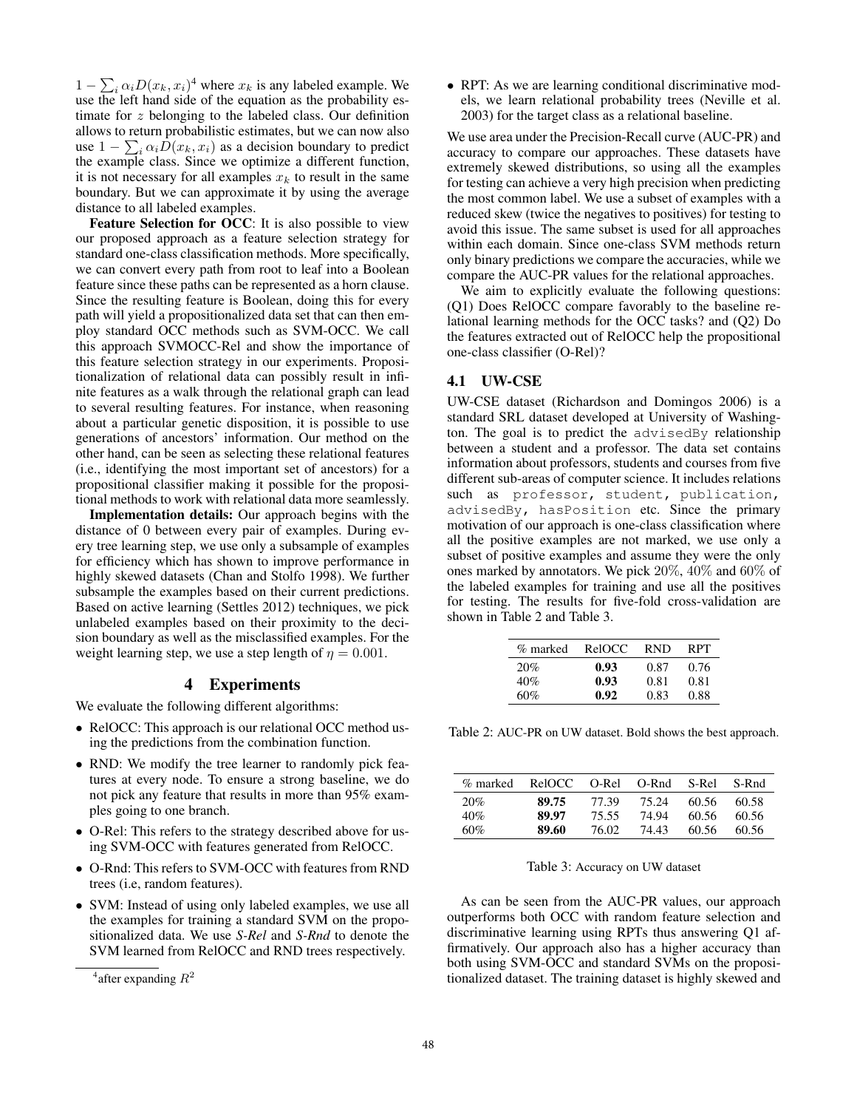$1 - \sum_i \alpha_i D(x_k, x_i)^4$  where  $x_k$  is any labeled example. We use the left hand side of the equation as the probability estimate for z belonging to the labeled class. Our definition allows to return probabilistic estimates, but we can now also use  $1 - \sum_i \alpha_i D(x_k, x_i)$  as a decision boundary to predict the example class. Since we optimize a different function, it is not necessary for all examples  $x_k$  to result in the same boundary. But we can approximate it by using the average distance to all labeled examples.

Feature Selection for OCC: It is also possible to view our proposed approach as a feature selection strategy for standard one-class classification methods. More specifically, we can convert every path from root to leaf into a Boolean feature since these paths can be represented as a horn clause. Since the resulting feature is Boolean, doing this for every path will yield a propositionalized data set that can then employ standard OCC methods such as SVM-OCC. We call this approach SVMOCC-Rel and show the importance of this feature selection strategy in our experiments. Propositionalization of relational data can possibly result in infinite features as a walk through the relational graph can lead to several resulting features. For instance, when reasoning about a particular genetic disposition, it is possible to use generations of ancestors' information. Our method on the other hand, can be seen as selecting these relational features (i.e., identifying the most important set of ancestors) for a propositional classifier making it possible for the propositional methods to work with relational data more seamlessly.

Implementation details: Our approach begins with the distance of 0 between every pair of examples. During every tree learning step, we use only a subsample of examples for efficiency which has shown to improve performance in highly skewed datasets (Chan and Stolfo 1998). We further subsample the examples based on their current predictions. Based on active learning (Settles 2012) techniques, we pick unlabeled examples based on their proximity to the decision boundary as well as the misclassified examples. For the weight learning step, we use a step length of  $\eta = 0.001$ .

### 4 Experiments

We evaluate the following different algorithms:

- RelOCC: This approach is our relational OCC method using the predictions from the combination function.
- RND: We modify the tree learner to randomly pick features at every node. To ensure a strong baseline, we do not pick any feature that results in more than 95% examples going to one branch.
- O-Rel: This refers to the strategy described above for using SVM-OCC with features generated from RelOCC.
- O-Rnd: This refers to SVM-OCC with features from RND trees (i.e, random features).
- SVM: Instead of using only labeled examples, we use all the examples for training a standard SVM on the propositionalized data. We use *S-Rel* and *S-Rnd* to denote the SVM learned from RelOCC and RND trees respectively.

• RPT: As we are learning conditional discriminative models, we learn relational probability trees (Neville et al. 2003) for the target class as a relational baseline.

We use area under the Precision-Recall curve (AUC-PR) and accuracy to compare our approaches. These datasets have extremely skewed distributions, so using all the examples for testing can achieve a very high precision when predicting the most common label. We use a subset of examples with a reduced skew (twice the negatives to positives) for testing to avoid this issue. The same subset is used for all approaches within each domain. Since one-class SVM methods return only binary predictions we compare the accuracies, while we compare the AUC-PR values for the relational approaches.

We aim to explicitly evaluate the following questions: (Q1) Does RelOCC compare favorably to the baseline relational learning methods for the OCC tasks? and (Q2) Do the features extracted out of RelOCC help the propositional one-class classifier (O-Rel)?

# 4.1 UW-CSE

UW-CSE dataset (Richardson and Domingos 2006) is a standard SRL dataset developed at University of Washington. The goal is to predict the advisedBy relationship between a student and a professor. The data set contains information about professors, students and courses from five different sub-areas of computer science. It includes relations such as professor, student, publication, advisedBy, hasPosition etc. Since the primary motivation of our approach is one-class classification where all the positive examples are not marked, we use only a subset of positive examples and assume they were the only ones marked by annotators. We pick 20%, 40% and 60% of the labeled examples for training and use all the positives for testing. The results for five-fold cross-validation are shown in Table 2 and Table 3.

| % marked | RelOCC. | RND  | R PT |
|----------|---------|------|------|
| 20%      | 0.93    | 0.87 | 0.76 |
| 40%      | 0.93    | 0.81 | 0.81 |
| 60%      | 0.92    | 0.83 | 0.88 |

Table 2: AUC-PR on UW dataset. Bold shows the best approach.

| % marked | RelOCC. | O-Rel | O-Rnd | S-Rel | S-Rnd |
|----------|---------|-------|-------|-------|-------|
| 20%      | 89.75   | 77.39 | 75.24 | 60.56 | 60.58 |
| 40%      | 89.97   | 75.55 | 74 94 | 60.56 | 60.56 |
| 60%      | 89.60   | 76.02 | 74.43 | 60.56 | 60.56 |

Table 3: Accuracy on UW dataset

As can be seen from the AUC-PR values, our approach outperforms both OCC with random feature selection and discriminative learning using RPTs thus answering Q1 affirmatively. Our approach also has a higher accuracy than both using SVM-OCC and standard SVMs on the propositionalized dataset. The training dataset is highly skewed and

<sup>&</sup>lt;sup>4</sup> after expanding  $R^2$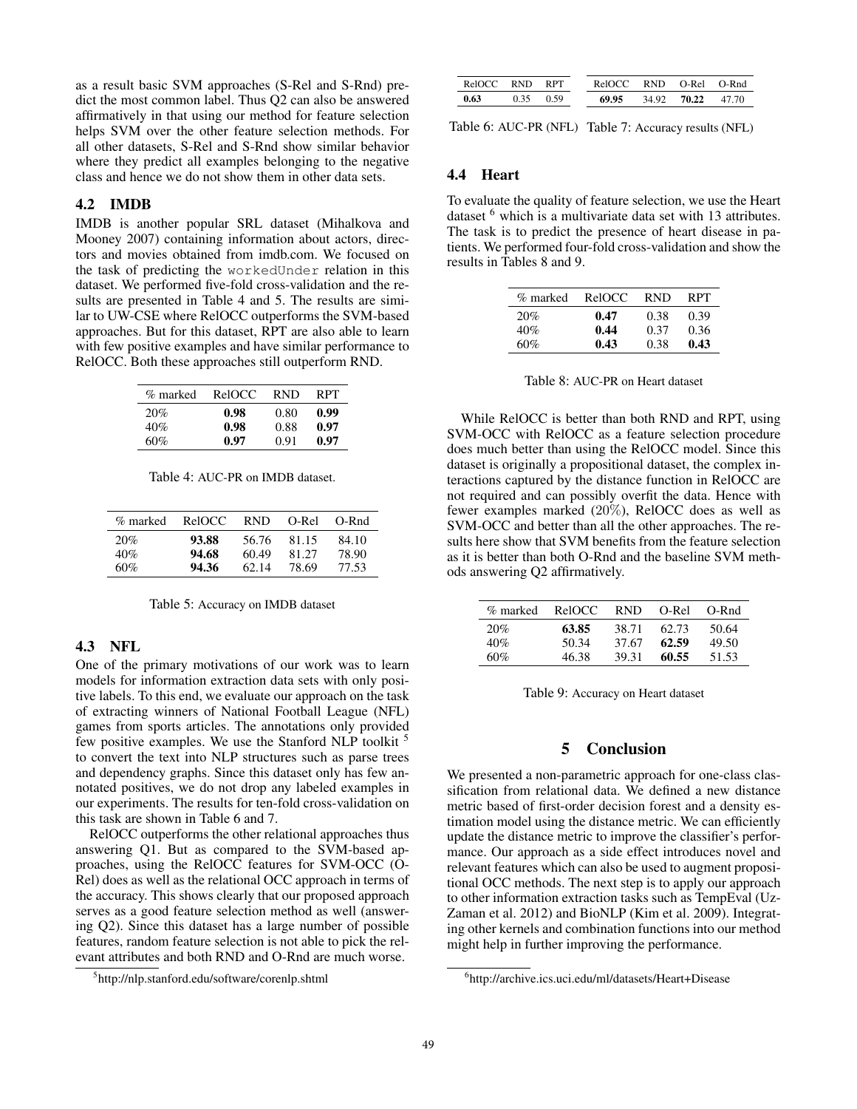as a result basic SVM approaches (S-Rel and S-Rnd) predict the most common label. Thus Q2 can also be answered affirmatively in that using our method for feature selection helps SVM over the other feature selection methods. For all other datasets, S-Rel and S-Rnd show similar behavior where they predict all examples belonging to the negative class and hence we do not show them in other data sets.

### 4.2 IMDB

IMDB is another popular SRL dataset (Mihalkova and Mooney 2007) containing information about actors, directors and movies obtained from imdb.com. We focused on the task of predicting the workedUnder relation in this dataset. We performed five-fold cross-validation and the results are presented in Table 4 and 5. The results are similar to UW-CSE where RelOCC outperforms the SVM-based approaches. But for this dataset, RPT are also able to learn with few positive examples and have similar performance to RelOCC. Both these approaches still outperform RND.

| % marked | RelOCC. | <b>RND</b> | R PT |
|----------|---------|------------|------|
| 20%      | 0.98    | 0.80       | 0.99 |
| 40%      | 0.98    | 0.88       | 0.97 |
| 60%      | 0.97    | 0.91       | 0.97 |

Table 4: AUC-PR on IMDB dataset.

| % marked | RelOCC | RND.  | O-Rel | $O-Rnd$ |
|----------|--------|-------|-------|---------|
| 20%      | 93.88  | 56.76 | 81.15 | 84.10   |
| 40%      | 94.68  | 60.49 | 81.27 | 78.90   |
| 60%      | 94.36  | 62.14 | 78.69 | 77.53   |

Table 5: Accuracy on IMDB dataset

# 4.3 NFL

One of the primary motivations of our work was to learn models for information extraction data sets with only positive labels. To this end, we evaluate our approach on the task of extracting winners of National Football League (NFL) games from sports articles. The annotations only provided few positive examples. We use the Stanford NLP toolkit <sup>5</sup> to convert the text into NLP structures such as parse trees and dependency graphs. Since this dataset only has few annotated positives, we do not drop any labeled examples in our experiments. The results for ten-fold cross-validation on this task are shown in Table 6 and 7.

RelOCC outperforms the other relational approaches thus answering Q1. But as compared to the SVM-based approaches, using the RelOCC features for SVM-OCC (O-Rel) does as well as the relational OCC approach in terms of the accuracy. This shows clearly that our proposed approach serves as a good feature selection method as well (answering Q2). Since this dataset has a large number of possible features, random feature selection is not able to pick the relevant attributes and both RND and O-Rnd are much worse.

| RelOCC RND RPT |      |      | ReJOCC RND O-Rel O-Rnd |                         |  |
|----------------|------|------|------------------------|-------------------------|--|
| 0.63           | 0.35 | 0.59 |                        | 69.95 34.92 70.22 47.70 |  |

Table 6: AUC-PR (NFL) Table 7: Accuracy results (NFL)

### 4.4 Heart

To evaluate the quality of feature selection, we use the Heart dataset <sup>6</sup> which is a multivariate data set with 13 attributes. The task is to predict the presence of heart disease in patients. We performed four-fold cross-validation and show the results in Tables 8 and 9.

| % marked | ReIOCC. | <b>RND</b> | RPT. |
|----------|---------|------------|------|
| 20%      | 0.47    | 0.38       | 0.39 |
| 40%      | 0.44    | 0.37       | 0.36 |
| 60%      | 0.43    | 0.38       | 0.43 |

Table 8: AUC-PR on Heart dataset

While RelOCC is better than both RND and RPT, using SVM-OCC with RelOCC as a feature selection procedure does much better than using the RelOCC model. Since this dataset is originally a propositional dataset, the complex interactions captured by the distance function in RelOCC are not required and can possibly overfit the data. Hence with fewer examples marked (20%), RelOCC does as well as SVM-OCC and better than all the other approaches. The results here show that SVM benefits from the feature selection as it is better than both O-Rnd and the baseline SVM methods answering Q2 affirmatively.

| % marked | RelOCC. | <b>RND</b> | O-Rel | O-Rnd |
|----------|---------|------------|-------|-------|
| 20%      | 63.85   | 38.71      | 62.73 | 50.64 |
| 40%      | 50.34   | 37.67      | 62.59 | 49.50 |
| 60%      | 46.38   | 39.31      | 60.55 | 51.53 |

Table 9: Accuracy on Heart dataset

# 5 Conclusion

We presented a non-parametric approach for one-class classification from relational data. We defined a new distance metric based of first-order decision forest and a density estimation model using the distance metric. We can efficiently update the distance metric to improve the classifier's performance. Our approach as a side effect introduces novel and relevant features which can also be used to augment propositional OCC methods. The next step is to apply our approach to other information extraction tasks such as TempEval (Uz-Zaman et al. 2012) and BioNLP (Kim et al. 2009). Integrating other kernels and combination functions into our method might help in further improving the performance.

<sup>5</sup> http://nlp.stanford.edu/software/corenlp.shtml

<sup>6</sup> http://archive.ics.uci.edu/ml/datasets/Heart+Disease